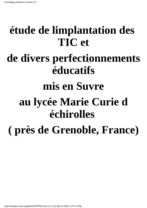# **étude de limplantation des TIC et de divers perfectionnements éducatifs mis en Suvre au lycée Marie Curie d échirolles ( près de Grenoble, France)**

http://intradev.oecd.org/els/ict/FR/FR01.htm (1 of 21) [06-12-2001 2:27:47 PM]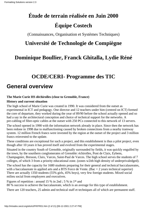## **Étude de terrain réalisée en Juin 2000 Équipe Costech**

(Connaissances, Organisation et Systèmes Techniques)

### **Université de Technologie de Compiègne**

### **Dominique Boullier, Franck Ghitalla, Lydie Réné**

### **OCDE/CERI- Programme des TIC**

### **General overview**

### **The Marie Curie HS déchirolles (close to Grenoble, France)**

### **History and current situation**

The high school of Marie Curie was created in 1990. It was considered from the outset as experimental in ICT and pedagogy. One director and 12 teachers under him (centred on ICT) formed the core of departure, they worked during the year of 89/90 before the school actually opened and so had a say in the architectural conception and choice of technical support for the networks. A pre-cabling of fibre-optic cables at the outset with 250 PCs connected to this network of 13 servers.

The school opened in 1990 with the information network already in place. Since then the network has been redone in 1998 due to malfunctioning caused by broken connections from a nearby tramway system. 12 million French francs were invested by the region at the outset of the project and 3 million francs reinvested to the update.

These conditions are exceptional for such a project, and this establishment is thus a pilot project, even though after 10 years it has proved itself and evolved from the experimental stages.

Situated in the country South of Grenoble, originally surrounded by fields, it was quickly engulfed by the town, by the sourthern conglomerates of Grenoble: échirolles, Pont de Claix, Eybens, Champagnier, Bresson, Claix, Varces, Saint-Paul de Varces. The high school serves the students of 7 colleges, of which 3 from a priority educational zone. (zones w2ith high density of underprivaledged).

The school has the capacity for 1680 students preparing for their general and technical baccalaureates, with a baccalaureate in applied arts and a BTS Force de Vente. (Bac  $+ 2$  years technical superior) There are actually 1350 students (55% girls, 45% boys), very few foreign students. Mixed social milieu social from employees and executives.

Figures of repetition : around 15 % in 2nd ; 5 % in 1st and

80 % success to achieve the baccalaureate, which is an average for this type of establishment.

There are 120 teachers, 25 admin and technical staff et techniques all of which are permanent staff.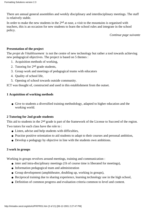There are annual general assemblies and weekly disciplinary and interdisciplinary meetings. The staff is relatively stable.

In order to make the new students in the  $2<sup>nd</sup>$  at ease, a visit to the mountains is organised with teachers, this is an occasion for new students to learn the school rules and integrate in the school policy.

*Continue page suivante*

### **Presentation of the project**

The *projet de l'établissement* is not the centre of new technology but rather a tool towards achieving new pedagogical objectives. The project is based on 5 themes :

- 1. Acquisition methods of working,
- 2. Tutoring for  $2<sup>nd</sup>$  grade students,
- 3. Group work and meetings of pedagogical teams with educators
- 4. Quality of school life,
- 5. Opening of school towards outside community.

ICT was thought of, constructed and used in this establishment from the outset.

### **1 Acquisition of working methods**

• Give to students a diversified training methodology, adapted to higher education and the working world.

### **2 Tutoring for 2nd grade students**

This aid to students in the 2<sup>nd</sup> grade is part of the framework of the License to Succeed of the region. Two tutors for each class have the role to :

- Listen, advise and help students with difficulties,
- Practise positive orientation to aid students to adapt to their courses and personal ambition,
- Develop a pedagogy by objective in line with the students own ambitions.

### **3 work in groups**

Working in groups revolves around meetings, training and communication :

- inter and intra-disciplinary meetings (1h of course time is liberated for meetings),
- Information pedagogical team and administration
- Group development (amphitheatre, doubling up, working in groups),
- Reciprocal training due to sharing experience, learning technology use in the high school,
- Definition of common progress and evaluation criteria common to level and content.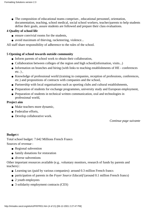The composition of educational teams comprises , educational personnel, orientation, ● documentation, teaching, school medical, social school workers, teacher/parents to help students define their goals, assure students are followed and prepare their class evaluations.

### **4 Quality of school life**

- $\bullet$  ensure convivial rooms for the students.
- avoid maximum of thieving, racketeering, violence...

All staff share responsibility of adherence to the rules of the school.

### **5 Opening of school towards outside community**

- Inform parents of school work to obtain their collaboration,
- Collaboration between colleges of the region and high school(information, visits...)
- Information on branches and hiring (with links to teaching establishments of HE conferences  $etc.$ ).
- Knowledge of professional world (training in companies, reception of professions, conferences, etc.) and propositions of contracts with companies and the school,
- Partnership with local organisations such as sporting clubs and cultural establishments,
- Preparation of students for exchange programmes, university study and European employment,
- Preparation of students in technical written communication, oral and technologies in professional world,

### **Project aim**

- Make teachers more dynamic,
- Federalise efforts.
- Develop collaborative work.

*Continue page suivante*

### **Budget t**

Total school budget: 7.642 Millions French Francs Sources of revenue :

- Regional subvention
- family donations for restoration
- diverse subventions

Other important resources available (e.g.. voluntary monitors, research of funds by parents and teachers) :

- Learning tax (paid by various companies): around 0.3 million French francs
- participation of parents in the *Foyer Source Educatif* (around 0.1 million French francs)
- 2 youth employees
- 3 solidarity employment contracts (CES)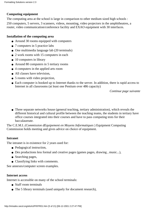### **Computing equipment**

The computing area at the school is large in comparison to other medium sized high schools :

250 computers, 5 servers, 3 scanners, videos, mounting, video projectors in the amphitheatres, a router, video communication/conference facility and EXAO equipment with 30 interfaces.

### **Installation of the computing area**

- Around 30 rooms equipped with computers
- 7 computers in 5 practice labs
- One multimedia language lab (20 terminals)
- 2 work rooms with 15 computers in each
- $\bullet$  10 computers in library
- Around 80 computers in 5 tertiary rooms
- 4 computers in the applied arts room
- All classes have television.
- 5 rooms with video projection,
- Each computer is hooked up to Internet thanks to the server. In addition, there is rapid access to Internet in all classrooms (at least one Pentium over 486 capacity)

*Continue page suivante*

Three separate networks house (general teaching, tertiary administration), which reveals the ● different historical and cultural profile between the teaching teams, the students in tertiary have office courses integrated into their courses and have to pass computing tests for their baccalaureate.

The C.E.M.I. *(Commission dEquipement en Moyens Informatiques*) Equipment Computing Commission holds meeting and gives advice on choice of equipment.

### **Intranet**

The intranet is in existence for 2 years used for:

- Pedagogical instruction.
- Des productions less formal and creative pages (games pages, drawing , music...),
- Searching pages,
- Classifying links with comments.

See annexes/computer screen examples.

#### **Internet access**

Internet is accessible on many of the school terminals:

- Staff room terminals
- The 5 library terminals (used uniquely for document research),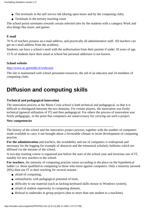- The terminals in the self service lab (during open hours and by the computing club),
- Terminals in the tertiary teaching room

The school portal orientates towards certain selected sites by the students with a category Work and also things like music and games.

### **E-mail**

70 % of teachers possess an e-mail address, and practically all administrative staff. All teachers can get an e-mail address from the academy.

Students can have a school e-mail with the authorisation from their parents if under 18 years of age. 15 % of students have their email at school but personal addresses is not known.

### **School website**

#### <http://www.ac-grenoble.fr/webcurie>

The site is maintained with school personnel resources, the aid of an educator and 24 members of computing clubs.

### **Diffusion and computing skills**

### **Technical and pedagogical innovation**

The innovation process at the Marie Curie school is both technical and pedagogical, so that it is difficult to distinguish between the two domains. For certain players, the innovation was firstly technical (general utilisation of IT) and then pedagogical. For others the process of innovation was firstly pedgagogic, to the point that computers are unneccessary for carrying out such a project.

 $\overline{a}$  , and the contribution of the contribution of the contribution of the contribution of the contribution of  $\overline{a}$ 

### **New competencies**

The history of the school and the innovative project process, together with the number of computers made available to carry it out brought about a favourable climate to incite development of computing practise.

**For the administration** and teachers, the availability and use of computers is widespread and necessary for the logging for example of absences and the trimestrial scholarly bulletins which are diffused via the intranet of the school.

A two-day training course is organised just before the start of the school year and favorises use of IT, notably for new teachers to the school.

**For teachers**, the intensity of computing practise varies according to the place on the hypothetical ladder i.e. those qualified in computing to those who resist against computers. Only a minority (around 20%) dont use IT in their teaching for several reasons :

- afraid of computing,
- unfamiliarity with pedagogical potential of tools,
- difficulty to use material (such as lacking keyboard skills mouse or Windows system),
- afraid of student superiority in computing domain,
- Refusal to undertake in group projects (due to more than one student to a machine),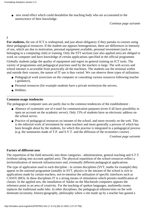• new trend effect which could destabilise the teaching body who are accustomed to the omniscience of their knowledge.

*Continue page suivante*

### *)*

**For students,** the use of ICT is widespread, and just about obligatory if they partake in courses using these pedagogical resources. If the student use appears homogeneous, there are differences in intensity of use, which are due to motivation, personal equipment available, personal investment (such as belonging to a computing club) or training. Only the STT sections (see also applied arts) are obliged to work on computer and have knowledge of certain applications specified in the official programme.

Globally students judge the quality of equipment and regret no general training on ICT tools. The variety of programmes and pedagogical practises used by the teachers is large. The web access and school intranet is accessible from practically all the machines. The students use the terminal within and outside their courses, the nature of IT use is thus varied. We can observe three types of utilisation:

- Pedagogical work (exercises on the computer or consulting various resources following teacher s guidance),
- Personal resources (for example students have a private territoryon the servers,

 $\overline{a}$  , and the contribution of the contribution of the contribution of the contribution of the contribution of  $\overline{a}$ 

● Hobbies.

#### **Common usage tendencies**

The pedagogical computer uses are partly due to the common tendencies of the establishment :

- Absence of systematic use of e-mail for communication purposes (even if all have possibility to open an account on the academic server). Only 15% of students have an electronic address on the school server.
- Practice of pedagogical resources on intranet of the school, and more recently on the web. This is the editorial work of investment by some teachers and more generally a process of which has been brought about by the students, for which this practise is integrated in a pedagogical process (e.g. the summaries made of T.P. and S.V.T. and the diffusion of the economics course) .

*Continue page suivante*

#### **Factors of different uses**

The repartition of the field networks into three categories : administration, general teaching and S.T.T. (without taking into account applied arts). The physical repartition of the school resources reflect a territorialisation of network infrastructures and, eventually different pedagogical applications.

The type of application used in each discipline : in certain disciplines (SVT, maths for example) they appear in the national programme (notably in SVT, physics or the intranet of the school is rich in applications made by certain teachers, not-to-mention the utilisation of specific interfaces such as CASSY-BIO). In these disciplines IT is a strong means of stimulation which permits modification of classes. In the applied arts, the installation of Adobe on the MacIntosh computers appears the reference point in an area of creativity. For the teaching of spoken languages, multmedia rooms replaces the traditional audio labs. In other disciplines, the pedagogical editions/sites on the web dominate (economy, history/geography, philosophy where a site made up by a teacher has gained a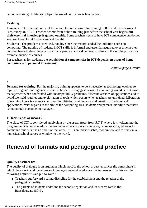certain notoriety). In literary subject the use of computers is less general.

### **Training**

**Teachers :** The internal policy of the school has not allowed for training in ICT and its pedagogical uses, except in S.T.T. Teacher benefit from a short training just before the school year begins **but their essential knowledge is gained outside.** Some teachers seem to have ICT competence but do not see how to exploit it for pedagogical benefit.

**Students :** The problem is identical, notably since the rectorat ended the initiation course in computing. The training of students in ICT skills is informal and essential acquired over time in their courses. Nevertheless, there is form of cooperation and aid between students in the self help room for example outside of courses.

For teachers as for students, the **acquisition of competencies in ICT depends on usage of home computers and personal investment.**

*Continue page suivante*

*)*

**Demand for training**: For the majority, training appears to be a necessity as technology evolves so rapidly. Regular training on a permanent basis in pedagogical usage of computing would permit easier management when confronted with incompatibility problems, different versions of applications and to avoid too rigid routines and exploitation of tools which occurs when teachers are untrained. Liberation of teaching hours is necessary to invest in initiation, maintenance and creation of pedagogical applications. With regards to the size of the computing area, students and parents underline that there is not enough personnel to manage it.

### **IT tools : ends or means ?**

The place of ICT is considered ambivalent by the users. Apart from S.T.T. where it is written into the programme, it is considered by the teacher as a means towards pedagogical renovation, whereas to parent and students it is an end. For the latter, ICT is an indispensable, modern tool and to study in a numerical school serves as window to the world.

### **Renewal of formats and pedagogical practice**

### **Quality of school life**

The quality of dialogue is an argument which most of the school argues enhances the atmosphere in which they work, and the absence of damaged material reinforces this impression. To this end the following arguments are put forward :

- Teachers put forward a ruling discipline for the establishment and the relation to the pedagogical quality,
- The parents of students underline the school s reputation and its success rate in the Baccalaureate (80%),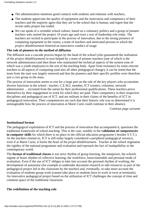- The administration mentions good contacts with students and relations with teachers,
- The students appreciate the quality of equipment and the motivation and competence of their teachers and the majority agree that they are in the school that is human, and regret that the recent radio project has ended.
- We can speak of a veritable school culture, based on a voluntary politics and a group of pioneer teachers who started the project 10 years ago and exert a sort of leadership role today. The teachers are incited to participate in the process of innovation, due to the strong presence of computing equipment in the rooms, a team of teachers and motivated persons to which the *project détablissement* fostered an innovative conduct of usage

#### **The role of pioneers in the method of diffusion**

The diffusion was a cascade process begun by the head of the school (who guaranteed the realisation of the *project détablissement*) in turn helped by a team of pioneer teachers (one of which is the network administrator) and then those who maintained the technical aspects of the system (one of which was a youth employee) to the rest of the teaching body. Apart from resistance by some reticent teachers to all aspects of computing (and also all other pedagogical change), it can be noted that the team from the start was largely renewed and that the pioneers and their specific profiles were therefore just a core group in the mass.

The process of innovation seems to rest for a large part on the rule of the key players who accumulate diverse functions in the school : teacher, C.E.M.I. member, ICT trainers, volunteer, network administrator ... recruited from the outset by their professional qualifications. These teachers prove themselves by their engagement in work for which they are paid. Their competency in their respective disciplines and pedagogical use of ICT, and are militant in their claims of the benefits of ICT in pedagogical renovation. Their competencies are such that their historic role was so determined it is unimaginable how the process of innovation at Marie Curie could continue in their absence.

*Continue page suivante*

### **Institutional format**

The pedagogical exploitation of ICT and the process of renovation that accompanied it, questions the traditional framework of school teaching. This is the case, notably in the **validation of competencies in computer skills** for which there is no place in the official education programme ( besides S.T.T.). As the teachers remind us, ICT is still today largely considered a peripheral pedagogical resource, even if at Marie Curie, it forms the heart of the *projet détablissement.* Teacher at the school stigmatise the rigidity of the national programme and evaluation and reproach the fact of inadaptibility to the contemporary world.

The **format of traditional classes** is too strict rhythm of group learning, the manpower, the schools regime of hours rhythm of collective learning, the workforce, hours/timetable and personal mode of evaluation. Even if the use of ICT obliges to take into account the personal rhythm of working, the development of autonomy (for example to undertake document research or edit resources as part of the pedagogical project led in the classroom by the teacher) and, eventually, to take more account the evaluation of students group work (cannot take place as students have to work in twos at terminals). An innovative pedagogical project based on the utilisation of ICT challenges the concept of time and common space of the traditional classroom.

#### **The redefinition of the teaching role**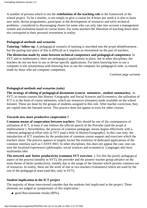A number of persons which to see the **redefinition of the teaching role** in the framework of the school project. To be a teacher, is not simply to give a course for 8 hours per week it is also to learn new tools, devise programmes, participate in the development of resources and solve technical problems : considered to discouraging chores for some who can only take into account a management system and evaluation based on course hours. For some teachers the liberation of teaching hours does not correspond to their personal investment in reality.

#### **Pedagogical methods and scenarios**

**Tutoring / follow-up.** A pedagogical scenario of tutoring is inscribed into *the projet détablissement*, but the putting into place of this is difficult as it requires an investment on the part of teachers.

**The distinction made by some between technical competence and pedagogical competence.** In SVT and in mathematics, there are pedagogical applications in place, but in other disciplines, the teachers do not see how to use or devise specific applications. For them knowing how to use a computer is not synonymous with knowing how to use the computer for pedagogical ends. (a remark made by those who are computer competent).

*Continue page suivante*

#### **Pedagogical methods and scenarios** *(suite)*

**The strategy of editing of pedagogical documents (course mémoires , student summaries).** In SVT, in certain courses like History /Geography and Social Sciences and Economics, the utilisation of ICT is in the form of course mémoires, which are resources (resumes) made available on the school Intranet. These are done by the groups of students assigned to this role. After teacher correction, they are copied onto the Intranet server. This practice does not appear to exist for other courses.

#### **Towards new more productive cooperation ?**

**Common means of cooperation between teachers**. This should be one of the consequences of utilisation of ICT, at least if one follows the official speech of the Provider (and the *projet d établissement*). Nevertheless, the process of common pedagogic means begins effectively with a coherent pedagogical effort only in SVT (and a little in History/Geography). In this case only, the introduction of ICT translates by the production of common course support and exercises which the teachers share. The process appears to largely favour the existence of dedicated applications of the common interface such as CASSY-BIO. In other disciplines, this does not appear the case, one can note the localised experiences (philosophy, social sciences and economics). Languages also have multimedia labs.

**The network and better productivity (common SVT exercises**). For this the purely pedagogical aspect of the process (notably in SVT), the provider and the pioneer teacher group advance on the main theme of better productivity, notably due to the usage of the Intranet which permits common use of resources. In reality, these are the work of one or two teachers (volunteers) which are used by the rest of the pedagogical team (and this, only in SVT).

### **Student implication in the ICT project**

The majority of those interviewed consider that the students feel implicated in the project. Three elements are judged as symptomatic of this implication :

● good Baccalaureate results (80%),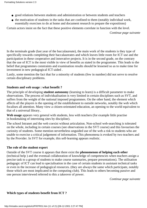- good relations between students and administration or between students and teachers
- the motivation of students in the tasks that are confined to them (notably individual work, essentially exercises to do at home and document research to prepare the expositions)

Certain actors insist on the fact that these positive elements correlate in function with the level.

*Continue page suivante*

In the terminale grade (last year of the baccalaureate), the main work of the students is they type of specifically towards completing their baccalaureates and which leaves little room for ICT use and the participation in these cooperative and innovative projects. It is in the second grade, on the contrary that the use of ICT is the most visible in view of benefits as stated in the programme. This leads to the belief that programmes constraints and examination results should be lessened so as to make time for investment in new pedagogical ICT-aided .

Lastly, some mention the fact that for a minority of students (few in number) did not serve to resolve certain disciplinary problems.

### **Students and web usage : what benefit ?**

The principle of developing **student autonomy** (learning to learn) is a difficult parameter to make observations. The process of individualisation is very limited in certain disciplines such as SVT, and suffers from the weight of the national imposed programmes. On the other hand, the element which affects all the players is the opening of the establishment to outside networks, notably the web which focalises all attention. Many view a citizen-orientated education, an opening to the world equivalent to that of a universal library..

**Web usage** appears very general with students, less with teachers (for example little practise in bookmaking of interesting sites by discipline).

The school Intranet and the web coexist without articulation. Non-school web-searching is tolerated on the whole, including in certain courses (see observations in the SVT course) and this favourises the curiosity of students. Some mention nevertheless unguided use of the web a risk to students who are unable to exercise a critical judgement of information. This phenomena is evoked by two teachers and by the Provider. In SVT for example, this self-learning appears realistic.

### **The role of the student expert**

Outside of the SVT course it appears that there exist the **phenomenon of helping each other** (technical help ) and the eventual collaboration of knowledge of competencies when teachers assign a precise task to a group of students to make course summaries, prepare presentations). The utilisation pedagogic of ICT can lead to specialisation in the case of certain students in assistant technical tasks or even in the increase of pedagogical resources. (they are always the same which participate, notably those which are most implicated in the computing club). This leads to others becoming passive and one person interviewed referred to this a takeover of power.

*Continue page suivante*

### **Which types of students benefit from ICT ?**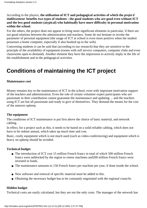According to the players, **the utilisation of ICT and pedagogical activities of which the** *projet d établissement* **benefits two types of students : the good students who are good even without ICT and the less good students (atypical) who habitually have more difficulty in personal motivation within the school.**

For the others, the project does not appear to bring more significant elements in particular, if there are not good relations between the administration and teachers. Some do not hesitate to invoke the parameter of personal equipment (the usage of ICT at school is even more positive when the student possesses a home computer, especially if also hooked up to the web).

Concerning students it can be said that (according to our research) that they are sensitive to the principle of the availability of equipment (rooms with self service computers, computer clubs and even classrooms open to demand). Another element they have the impression to actively imply in the life of the establishment and in the pedagogical activities.

### **Conditions of maintaining the ICT project**

### **Maintenance cost**

Money remains key to the maintenance of ICT in the school, even with important motivation support of the teachers and administration. Even the role of certain volunteer expert participants who are passionate in their contribution cannot guarantee the maintenance and updating ... and the teachers using ICT are bot all passionate and ready to give of themselves. They demand the means for the cost of the annexes upkeep.

### **The equipment**

The conditions of ICT maintenance is put first above the choice of basic material, and network cabling.

In effect, for a project such as this, it needs to be based on a solid reliable cabling, which does not have to be redone annual, which takes up much time and cost.

Basic, costly equipment which is not much used (such as video-conferencing) and equipment which is heavy on upkeep should be avoided.

### **Technical budget**

- The introduction of ICT cost 15 million French francs in total of which 500 million French francs were unblocked by the region to renew machines and200 million French francs were invested in funds.
- The maintenance amounts to 150 French francs per machine per year, if done inside the school.
- New software and renewal of specific material must be added to this.
- Obtaining the necessary budget has to be constantly negotiated with the regional councils.

### **Hidden budget**

.

Technical costs are easily calculated, but they are not the only costs. The manager of the network has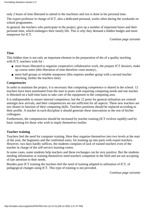only 2 hours of time liberated to attend to the machines and rest is done in his personal time.

The expert professor in charge of ICT, also a dedicated personal, works often during the weekends on school programmes.

In general, the teachers who participate in the project, give up a number of important hours and their personal time, which endangers their family life. This is why they demand a hidden budget and more manpower for ICT.

*Continue page suivante*

### **Time**

This hidden time is not only an important element in the preparation of the of a quality teaching with ICT, teachers wish for :

- more hours liberated to organise cooperative collaborative work, the prepare ICT dossiers, make up course notes (this liberation of time therefore costs money) ,
- more half-groups or reliable manpower (this requires another group with a second teacher blocking, further the teacher s time)

### **Competencies**

In order to maintain the project, it is necessary that computing competence is shared in the school. 12 teachers have been nominated from the start to posts with requiring computing needs and one teacher is liberated on a half-time basis to take care of the equipment in the computing area.

It is indispensable to ensure internal competence, but the 12 posts for general utilisation are centred amongst new arrivals, and their competencies are not sufficient for all aspects. These new teachers are not chosen in function of their computing skills. Teachers positions should be replaced according to their profile. A teacher in each discipline it should generate these innovations to the rest of his/her colleagues.

Furthermore, the competencies should be increased by teacher training (ICT evolves rapidly) and by basic training for those who wish to imply themselves further.

### **Teacher training**

Teachers feel the need for computer training. Here they organise themselves into two levels at the start of the year, the beginners and the confirmed users, for teaming up into parts with expert teachers. However, two days hardly suffices, the students complain of lack of trained teachers even of the teacher in charge of the self-service learning centre.

In some cases, some students help teachers and these exchanges can be very positive. But the students needing information or training themselves need teachers competent in the field and are not accepting of late attention to their needs.

Besides pure ICT training the teachers feel the need of training adapted to utilisation of ICT, of pedagogical changes using ICT. This type of training is not provided.

*Continue page suivante*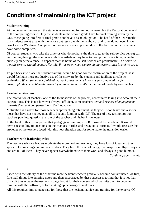### **Conditions of maintaining the ICT project**

### **Student training**

At the outset of the project, the students were trained for an hour a week, but the Rectorat put an end to the computing course. Only the students in the second grade have Internet training given by the CDI, those going into first or final grade dont have it as an obligation. The head of the CDI remarks that students are at ease with the mouse but less so with the keyboard, and some do not even know how to work Windows. Computer courses are always important due to the fact that not all students have home computers.

Of course, students who take the time (or who do not have the time to go to the self-service centre) can get training through the computer club. Nevertheless they have to use up their spare time, have the curiosity an perseverance. It appears that the hours of the self-service are problematic. *The hours of the self-service should be more flexible, if it is open when we are giving lessons, then it is of no use to us.*

To put back into place the student training, would be good for the continuation of the project, as it would facilitate more productive use of the software by the students and facilitate a realistic evaluation. *When some have finished typing 3 pages, others have not yet completed the first paragraph, this is problematic when trying to evaluate results* is the remark made by one teacher.

#### **Teacher motivation**

The motivation of teachers, one of the foundations of the project, necessitates taking into account their expectations. This is not however always sufficient, some teachers demand *respect of engagements towards them and compensation to the innovators.*

Motivation is hardest for those teachers approaching retirement, as they will soon leave and also for those that have not yet begun at all to become familiar with ICT. The use of new technology for teachers puts into question the role of the teacher and his/her knowledge.

In the light of this it is apparent that pedagogical training with ICT would be beneficial. It would permit responding to questions on the changes of roles and pedagogical format. It would reassure the anxieties of the teachers faced with this new situation and for some make the transition easier.

#### **Teachers with leadership roles**

The teachers who are leaders motivate the more hesitant teachers, they have lots of ideas and they speak out in meetings and in the corridors. They have the kind of energy that inspires multiple projects and are full of ideas. They never appear overwhelmed with their work and always in good humour.

*Continue page suivante*

*)*

Faced with the vitality of the other the more hesitant teachers gradually become contaminated. At first, for small things like entering notes and then encouraged by these successes to find that it is not that difficult they engage themselves in page layout for their courses which permits them to become familiar with the software, before making up pedagogical materials.

All this requires time to penetrate for those that are hesitant, advice and training for the experts. Of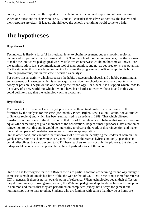course, there are those that the experts are unable to convert at all and appear to not have the time. When one questions teachers who use ICT, but still consider themselves as novices, the leaders and their response are clear : if leaders should leave the school, everything would come to a halt.

### **The hypotheses**

### **Hypothesis 1**

Technology is firstly a forceful institutional level to obtain investment budgets notably regional budgets which permit a quality framework of ICT in the school. For certain teachers, it is the occasion to make the innovative pedagogical work visible, which otherwise would not become as known. For the administration, it is a communication tool of manipulation, and not as yet used to its true potential. For the students, this is an obligation, which for some the programme of office computing is built into the programme, and in this case it works as a catalyst.

For others it is an activity which surpasses the habits between schoolwork and a hobby permitting an enhancement of knowedge which is often acquired outside the school, on personal computers : a hobby or passion is begun on the one hand by the technology. For others, it is a support which leads to discovery of a new world, for which it would have been harder to reach without it, and in this you could definitely say that the technology acts as a catalyst.

### **Hypothesis 2**

The model of diffusion is of interest yet poses serious theoretical problems, which came to the forefront by the analysis for this case (see, notably Pinch, Bijker, Law, Callon, Latour, Social Studies of Science review) and which has been summarised in an article in 1989. That which diffuses transforms in the course of the diffusion, so that it is of little relevance to believe that we can measure equally/the same thing at given moments of the observation. Rogers himself proposes later a notion of reinvention to treat this and it would be interesting to observe the work of this reinvention and make the local comparison/translation necessary to make an appropriation.

On the other hand, one can view the framework of diffusion in identifying the leaders of opinion, the gatekeepers. Some teachers were clearly identified from the start as hybrids, not only specialists in certain discplines, but also devoted to ICT. These teachers remain not only the pioneers, but also the indispensable adopters of the particular technical particularities of the school.

One also has to recognise that with Rogers there are partial adoptions concerning technology change : some use is made of emails but little of the the web or that of CD-ROM. One cannot therefore refer to ICT in general, if there is not an outside point of reference. When technologies began their diffusion, they differed in way of use, games, e-mail, the Web and pedagogical applications have only one point in common and that is that they are performed on computers (except not always for games) but nothing stops one to pass to other. Students who are familiar with games that they do at home are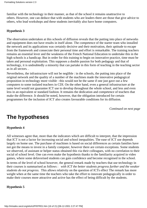familiar with the technology in their manner, as that of the school it remains unattractive to others. However, one can deduce that with students who are leaders there are those that give advice to others, who lead workshops and these students inevitably also have home computers.

### **Hypothesis 3**

The observation undertaken at this schools of diffusion reveals that the putting into place of networks and equipment does not have results in itself alone. The competence of the starter team who installed the network and its applications was certainly decisive and their motivation, their aptitude to escape from the framework and consecrate their personal time and effort is remarkable. The training teachers remains an essential lever and the weakness of the French National Education to undertake this in the high schools is a handicap. But in order for this training to begin on innovative practice, time must be taken and personal exploitation. This supposes a double passion for both pedagogy and that of technology, it is undoubtedly a minority that can partake in this form of teaching in the teaching sector as in all sectors.

Nevertheless, the infrastructure will not be neglible : in the schools, the putting into place of the original network and the quality of a number of the machines made the innovative pedagogical proposition in technology more visible : this would not be the same if one just gave out a few computers to some isolated teachers in CDI. On the other hand, even a general infrastructure at the same level would not guarantee ICT use to develop throughout the whole school, and less and even less in an equivalent or standard fashion. It remains the dedication and competence of teachers that make the difference. It should be noted, however, that the obligation introduced for certain programmes for the inclusion of ICT also creates favourable conditions for its diffusion.

*Continued on next page*

### **The hypotheses**

### **Hypothesis 4**

All witnesses agree that, more than the indicators which are difficult to interpret, that the impression that ICT is not a factor for increasing social and school inequalities. The ease of ICT use depends largely on home use. The purchase of machines is based on social differences as certain families have not got the means to invest in a family computer, however there are certain exceptions. Some students we observed, of assistant or helper status obtained this via their colleagues, with no correlation to their social of school level. One can even make the hypothesis thanks to the familiarity acquired in video games, where some defavorised students can gain confidence and become recognised in the school.

In terms of the level of school however, the general remark made by teachers that use technology in their courses is summarised as follows :  *with ICT the better students progress further and the weaker students do not progress*. This allows relativity on the question of ICT s effect The remark has more weight when at the same time the teachers who take the effort to innovate pedagogically in order to make their courses more attractive and active has the effect of being difficult by the students.

### **Hypothesis 5**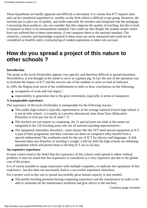These hypotheses are hardly apparent and difficult to document. It is certain that ICT requires time and can be considered unproductive, notably on the Web which is difficult to get going. However, the tutorials put in place are of quality, and made especially for teachers and integrated into the pedagogy. Concerning these products, one can consider that they improve the quality of teaching, but this is hard to measure as there is no measurement standard. One could say that despite the student results which have not suffered due to these innovations, if one compares them to the national standard. The creativity, curiosity and knowledge acquired in these areas are never measured and could not be considered as benefits until a restructuring of student aspirations is taken into account.

### **How do you spread a project of this nature to other schools ?**

### **Introduction**

The projet at the lycée d'échirolles appears very specific and therefore difficult to spread elsewhere. Nevertheless, it was thought at the outset to serve as a guinea pig. In fact the aim of the operation was to evaluate the impact of ICT and the success rate of the students to serve as kind of indicator.

In 1995, the Region took stock of the establishment in order to draw conclusions on the following:

- recognition of work and real impact;
- impossibility to generalise due to the great investment, especially in terms of manpower.

### **A transposable experience**

The experience of the lycée d'échirolles is transposable for the following reasons :

- This public high school is typically representative of the average national French high school, it is not an elite school , it is partly in a priority educational zone d'une Zone dÉducation Prioritaire et n'est pas trié sur le volet ? ?)
- The teachers are not experts in computing, the 12 special posts set aside at the outset are integrated in the 120 teaching posts who are all national teaching representatives ;
- The equipment intensifies elsewhere ; some classes like the STT need special equipment as ICT is part of their programme and their exercises are done on computers (they benefit from a special endowment) The academies push for the use of ICT for physics and languages. A link between these two branches of teaching is sought. Little by little the high schools are obtaining equipment which will permit them to develop ICT use in all sites.

#### **An expensive experience**

If some criteria lead to the belief that the experience of this school could spread to others without problem, it must be noted that this experience is considered as a very expensive one due to the global cost of the project.

It is of course possible to equip classrooms with multiple computers, to replicate the equipment of this experience , but this does not necessarily lead to a successful experience elsewhere.

For a project such as this one to spread successfully great human capacity is also needed :

• The profile teaching positions having computing experience and the maintenance in order to be able to surmount all the maintenance problems and give advice to the teachers,

*Continue page suivante*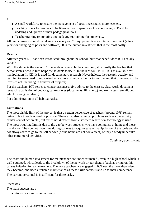*)*

- A small workforce to ensure the management of posts necessitates more teachers,
- Teaching hours for teachers to be liberated for preparation of courses using ICT and for updating and upkeep of their pedagogical tools,
- Teacher training (computing and pedagogic), training for students ...

All human means should be taken stock every as ICT equipment is a long term investment (a few years for changing of posts and software). It is the human investment that is the most costly.

### **Results**

After ten years ICT has been introduced throughout the school, but what benefit does ICT actually serve ?

With the students the use of ICT depends on space. In the classroom, it is mostly the teacher that demonstrates, who in turn helps the students to use it. In the labs for TP, TD, ICT is available for manipulation. In CDI it is used for documentary research. Nevertheless,, the research activity and learning to learn need to recognised as a source of knowledge for tomorrow and that time needs to be invested (cf. including in transversal projects).

For the teachers, ICT serves to control absences, give advice to the classes, class work, document research, acquisition of pedagogical resources (documents, films, etc.) and exchanges (e-mail, but which is not generalised)

For administration of all habitual tasks.

### **Limitations**

The most visible limit of the project is that a certain percentage of teachers (around 10%) remain reticent, but there is no real opposition. There exist also technical problems such as connectivity, printers out of action etc., but this is not different from elsewhere where new technology is used.

The most troubling limit is due to the gap between students who have computers at home and those that do not. They do not have time during courses to acquire ease of manipulation of the tools and do not always dare to go to the self service (or the hours are not convenient) or they already undertake other extra mural activities.

*Continue page suivante*

The costs and human investment for maintenance are under estimated , even in a high school which is well equipped, which leads to the breakdown of the network or peripherals (such as printers), this causes irritation for some teachers. The more teachers are engaged in ICT use, the more dependent they become, and need a reliable maintenance as these skills cannot stand up to their competence.

The current personnel is insufficient for these tasks.

#### **Successes**

The main success are :

• students are more autonomous;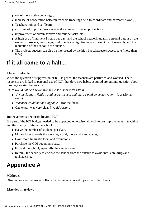- use of more active pedagogy;
- increase of cooperation between teachers (meetings held to coordinate and harmonise work),
- Teachers train and self learn,
- an offers of important resources and a number of varied productions,
- improvement of administrative and routine tasks, etc.,
- A high use of Internet (8 hours per day) and the school network, quality personal output by the students (dossiers, web pages, multimedia), a high frequency during CDI of research, and the reputation of the school to the outside.
- The projects success can also be interpreted by the high baccalaureate success rate (more than 80%).

### **If it all came to a halt...**

### **The unthinkable**

When the question of suppression of ICT is posed, the teachers are perturbed and worried. Their responses are linked to personal use of ICT, therefore new habits acquired are put into question about moving one step backwards.

 *there would not be a revolution but a stir* (for most users),

- the disciplinary fields would be perturbed, and there would be demotivation (occasional users),
- *teachers would not be stoppable* (for the fans).
- One expert was very clear *I would resign .*

### **Improvements proposed beyond ICT**

If a part of the ICT budget needed to be expended otherwise, all wish to see improvement in teaching and the quality of life in the school.

- Halve the number of students per class,
- Move closer towards the working world, more visits and stages,
- Have more linguistic tours and excursions,
- Purchase the CDI documents base.
- Expand the school, especially the canteen area,
- Rethink the security to enclose the school from the outside to avoid intrusion, drugs and racketeering.

### **Appendice A**

### **Méthodes**

Observations, entretiens et collecte de documents durant 3 jours, à 3 chercheurs.

### **Liste des interviews**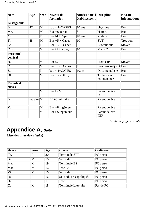| $\mathbf{\mathbf{Nom}}$     | Age        | <b>Sexe</b>           | Niveau de<br>formation              | Années dans l Discipline<br>établissement |                              | <b>Niveau</b><br> informatique |
|-----------------------------|------------|-----------------------|-------------------------------------|-------------------------------------------|------------------------------|--------------------------------|
| <b>Enseignants</b>          |            |                       |                                     |                                           |                              |                                |
| <b>B.</b>                   | 47         | M                     | $bac + 4 + CAPES$                   | 10 ans                                    | physique                     | Bon                            |
| Me.                         |            | M                     | Bac $+6$ agreg                      | 8                                         | histoire                     | Bon                            |
| Mo.                         |            | F                     | $Bac+4 + Capes$                     | 10 ans                                    | anglais                      | Bon                            |
| Ti.                         | 48         | M                     | $\text{Bac} + 5 + \text{Capes}$     | 10                                        | <b>SVT</b>                   | Très bon                       |
| $\overline{\text{Ch.}}$     |            | F                     | $\text{Bac} + 2 + \text{Capet}$     | $\overline{6}$                            | Bureautique                  | Moyen                          |
| Chx                         |            | M                     | $\text{Bac}+5 + \text{agreg}$       | $\overline{10}$                           | Maths?                       | Bon                            |
| <b>Personnel</b><br>général |            |                       |                                     |                                           |                              |                                |
| $\overline{\text{N.}}$      |            | M                     | $\text{Bac}+5$                      | 6                                         | Proviseur                    | Moyen                          |
| $\overline{\mathsf{C}.}$    |            | M                     | $\overline{Bac} + 5 + \text{Capes}$ | $\overline{4}$                            | Proviseur-adjoint Bon        |                                |
| Je.                         |            | F                     | $bac + 4 + CAPES$                   | 10ans                                     | Documentaliste               | Bon                            |
| Ol.                         |            | M                     | $\text{Bac} + 2 \text{ (DUT)}$      | 5                                         | Technicien<br>maintenance    | Bon                            |
| <b>Parents d</b><br>élèves  |            |                       |                                     |                                           |                              |                                |
| L.                          |            | M                     | Bac+5 MKT                           |                                           | Parent délève<br><b>FCPE</b> |                                |
| $\overline{B}$ .            | retraité M |                       | <b>BEPC</b> militaire               |                                           | Parent délève<br><b>PEP</b>  |                                |
| $\overline{\mathrm{V}}.$    |            | $\overline{\text{M}}$ | $\text{Bac} + 8$ ingénieur          |                                           | Parent délève                |                                |
| R.                          |            | M                     | Bac+ 5 ingénieur                    |                                           | Parent délève<br>PEP         |                                |

*Continue page suivante*

### **Appendice A,** *Suite*

**Liste des interviews** *(suite)*

| élèves                  | Sexe | âge          | <b>Classe</b>          | Ordinateur  |
|-------------------------|------|--------------|------------------------|-------------|
| P <sub>h</sub>          | F    | 20           | Terminale STT          | PC perso    |
| Ba.                     | M    | 16           | Seconde                | $ PC$ perso |
| Ma.                     | M    | 19           | Terminale ES           | PC perso    |
| Mac.                    | M    | $ 16\rangle$ | lere ES                | $ PC$ perso |
| $\overline{\text{Vi.}}$ | M    | $ 16\rangle$ | Seconde                | PC perso    |
| Du.                     | F    | 16           | Seconde arts appliqués | PC perso    |
| Dr.                     | F    | 17           | lere S                 | PC perso    |
| Co.                     | M    | 18           | Terminale Littéraire   | Pas de PC   |